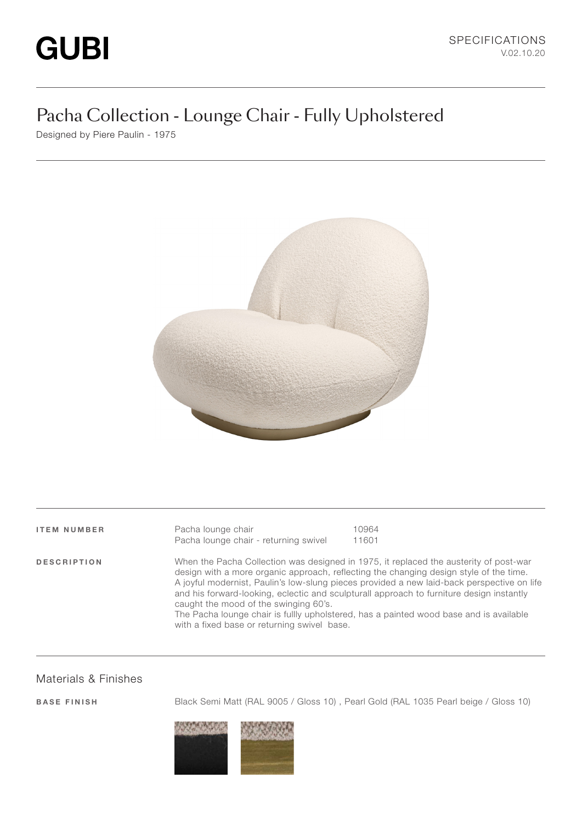# Pacha Collection - Lounge Chair - Fully Upholstered

Designed by Piere Paulin - 1975



ITEM NUMBER Pacha lounge chair 10964 Pacha lounge chair - returning swivel 11601 DESCRIPTION When the Pacha Collection was designed in 1975, it replaced the austerity of post-war design with a more organic approach, reflecting the changing design style of the time. A joyful modernist, Paulin's low-slung pieces provided a new laid-back perspective on life and his forward-looking, eclectic and sculpturall approach to furniture design instantly caught the mood of the swinging 60's. The Pacha lounge chair is fullly upholstered, has a painted wood base and is available with a fixed base or returning swivel base.

#### Materials & Finishes

BASE FINISH Black Semi Matt (RAL 9005 / Gloss 10) , Pearl Gold (RAL 1035 Pearl beige / Gloss 10)

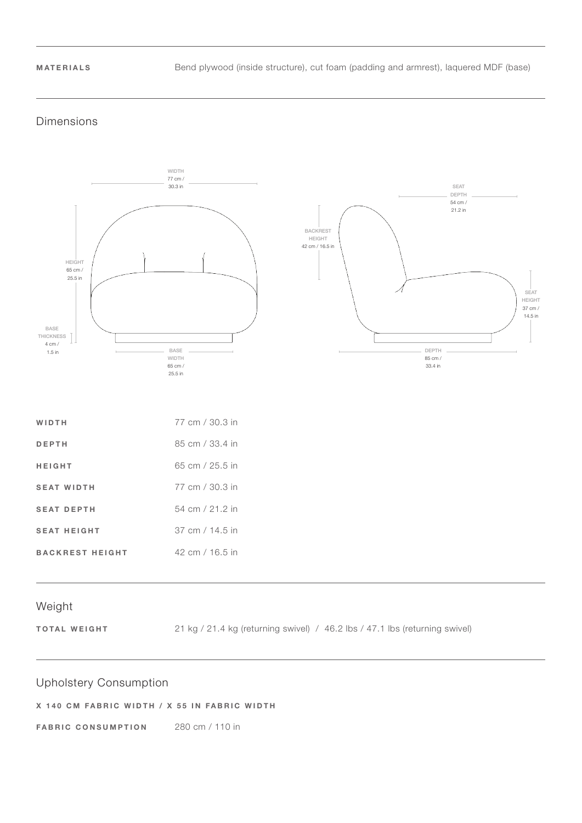MATERIALS Bend plywood (inside structure), cut foam (padding and armrest), laquered MDF (base)

#### Dimensions



#### Weight

TOTAL WEIGHT 21 kg / 21.4 kg (returning swivel) / 46.2 lbs / 47.1 lbs (returning swivel)

### Upholstery Consumption

#### X 140 CM FABRIC WIDTH / X 55 IN FABRIC WIDTH

FABRIC CONSUMPTION 280 cm / 110 in